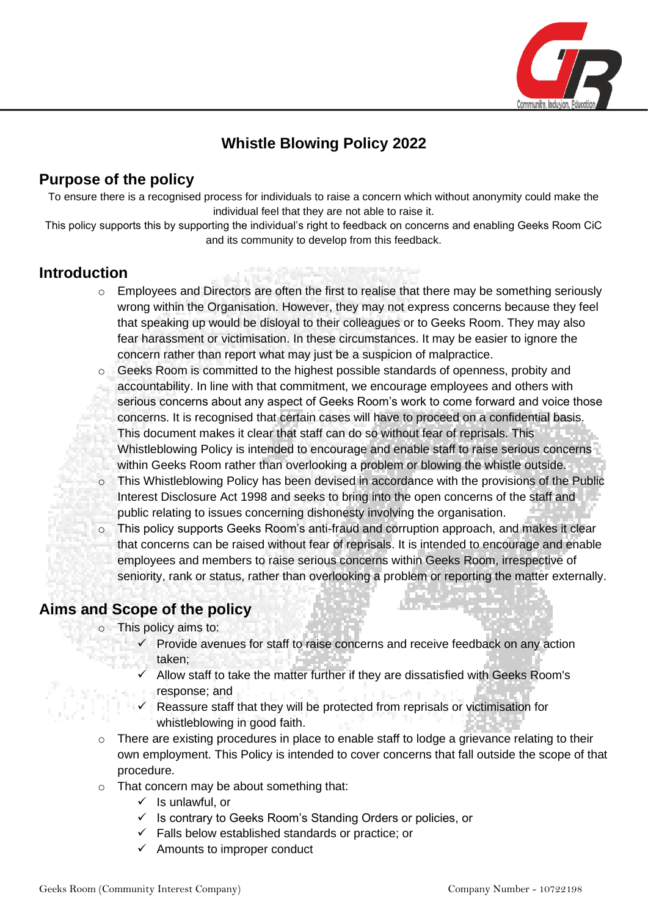

# **Whistle Blowing Policy 2022**

# **Purpose of the policy**

To ensure there is a recognised process for individuals to raise a concern which without anonymity could make the individual feel that they are not able to raise it.

This policy supports this by supporting the individual's right to feedback on concerns and enabling Geeks Room CiC and its community to develop from this feedback.

### **Introduction**

- o Employees and Directors are often the first to realise that there may be something seriously wrong within the Organisation. However, they may not express concerns because they feel that speaking up would be disloyal to their colleagues or to Geeks Room. They may also fear harassment or victimisation. In these circumstances. It may be easier to ignore the concern rather than report what may just be a suspicion of malpractice.
- o Geeks Room is committed to the highest possible standards of openness, probity and accountability. In line with that commitment, we encourage employees and others with serious concerns about any aspect of Geeks Room's work to come forward and voice those concerns. It is recognised that certain cases will have to proceed on a confidential basis. This document makes it clear that staff can do so without fear of reprisals. This Whistleblowing Policy is intended to encourage and enable staff to raise serious concerns within Geeks Room rather than overlooking a problem or blowing the whistle outside.
- o This Whistleblowing Policy has been devised in accordance with the provisions of the Public Interest Disclosure Act 1998 and seeks to bring into the open concerns of the staff and public relating to issues concerning dishonesty involving the organisation.
- o This policy supports Geeks Room's anti-fraud and corruption approach, and makes it clear that concerns can be raised without fear of reprisals. It is intended to encourage and enable employees and members to raise serious concerns within Geeks Room, irrespective of seniority, rank or status, rather than overlooking a problem or reporting the matter externally.

# **Aims and Scope of the policy**

o This policy aims to:

- Provide avenues for staff to raise concerns and receive feedback on any action taken;
- Allow staff to take the matter further if they are dissatisfied with Geeks Room's response; and
- Reassure staff that they will be protected from reprisals or victimisation for whistleblowing in good faith.
- $\circ$  There are existing procedures in place to enable staff to lodge a grievance relating to their own employment. This Policy is intended to cover concerns that fall outside the scope of that procedure.
- o That concern may be about something that:
	- $\checkmark$  Is unlawful, or
	- ✓ Is contrary to Geeks Room's Standing Orders or policies, or
	- $\checkmark$  Falls below established standards or practice; or
	- $\checkmark$  Amounts to improper conduct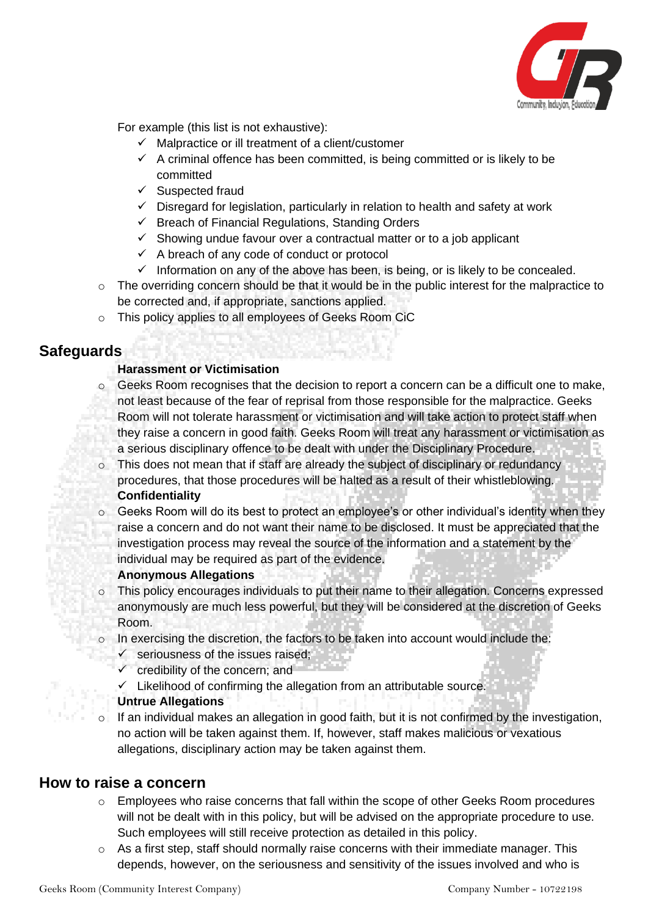

For example (this list is not exhaustive):

- $\checkmark$  Malpractice or ill treatment of a client/customer
- $\checkmark$  A criminal offence has been committed, is being committed or is likely to be committed
- ✓ Suspected fraud
- ✓ Disregard for legislation, particularly in relation to health and safety at work
- $\checkmark$  Breach of Financial Regulations, Standing Orders
- ✓ Showing undue favour over a contractual matter or to a job applicant
- ✓ A breach of any code of conduct or protocol
- $\checkmark$  Information on any of the above has been, is being, or is likely to be concealed.
- $\circ$  The overriding concern should be that it would be in the public interest for the malpractice to be corrected and, if appropriate, sanctions applied.
- o This policy applies to all employees of Geeks Room CiC

# **Safeguards**

#### **Harassment or Victimisation**

- $\circ$  Geeks Room recognises that the decision to report a concern can be a difficult one to make, not least because of the fear of reprisal from those responsible for the malpractice. Geeks Room will not tolerate harassment or victimisation and will take action to protect staff when they raise a concern in good faith. Geeks Room will treat any harassment or victimisation as a serious disciplinary offence to be dealt with under the Disciplinary Procedure.
- o This does not mean that if staff are already the subject of disciplinary or redundancy procedures, that those procedures will be halted as a result of their whistleblowing. **Confidentiality**
- $\circ$  Geeks Room will do its best to protect an employee's or other individual's identity when they raise a concern and do not want their name to be disclosed. It must be appreciated that the investigation process may reveal the source of the information and a statement by the individual may be required as part of the evidence.

#### **Anonymous Allegations**

- o This policy encourages individuals to put their name to their allegation. Concerns expressed anonymously are much less powerful, but they will be considered at the discretion of Geeks Room.
- o In exercising the discretion, the factors to be taken into account would include the:
	- $\checkmark$  seriousness of the issues raised:
	- $\checkmark$  credibility of the concern; and
	- $\checkmark$  Likelihood of confirming the allegation from an attributable source.

#### **Untrue Allegations**

If an individual makes an allegation in good faith, but it is not confirmed by the investigation, no action will be taken against them. If, however, staff makes malicious or vexatious allegations, disciplinary action may be taken against them.

### **How to raise a concern**

- $\circ$  Employees who raise concerns that fall within the scope of other Geeks Room procedures will not be dealt with in this policy, but will be advised on the appropriate procedure to use. Such employees will still receive protection as detailed in this policy.
- o As a first step, staff should normally raise concerns with their immediate manager. This depends, however, on the seriousness and sensitivity of the issues involved and who is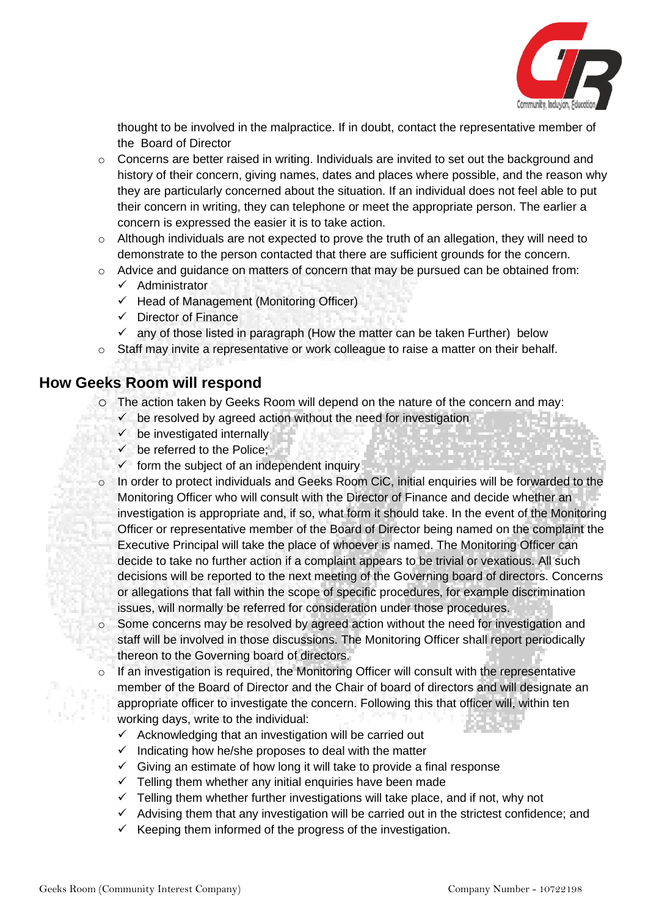

thought to be involved in the malpractice. If in doubt, contact the representative member of the Board of Director

- $\circ$  Concerns are better raised in writing. Individuals are invited to set out the background and history of their concern, giving names, dates and places where possible, and the reason why they are particularly concerned about the situation. If an individual does not feel able to put their concern in writing, they can telephone or meet the appropriate person. The earlier a concern is expressed the easier it is to take action.
- $\circ$  Although individuals are not expected to prove the truth of an allegation, they will need to demonstrate to the person contacted that there are sufficient grounds for the concern.
- o Advice and guidance on matters of concern that may be pursued can be obtained from:
	- $\checkmark$  Administrator
	- $\checkmark$  Head of Management (Monitoring Officer)
	- ✓ Director of Finance
	- $\checkmark$  any of those listed in paragraph (How the matter can be taken Further) below
- o Staff may invite a representative or work colleague to raise a matter on their behalf.

### **How Geeks Room will respond**

- o The action taken by Geeks Room will depend on the nature of the concern and may:
	- $\checkmark$  be resolved by agreed action without the need for investigation
	- $\checkmark$  be investigated internally
	- $\checkmark$  be referred to the Police;
	- $\checkmark$  form the subject of an independent inquiry
- o In order to protect individuals and Geeks Room CiC, initial enquiries will be forwarded to the Monitoring Officer who will consult with the Director of Finance and decide whether an investigation is appropriate and, if so, what form it should take. In the event of the Monitoring Officer or representative member of the Board of Director being named on the complaint the Executive Principal will take the place of whoever is named. The Monitoring Officer can decide to take no further action if a complaint appears to be trivial or vexatious. All such decisions will be reported to the next meeting of the Governing board of directors. Concerns or allegations that fall within the scope of specific procedures, for example discrimination issues, will normally be referred for consideration under those procedures.
- o Some concerns may be resolved by agreed action without the need for investigation and staff will be involved in those discussions. The Monitoring Officer shall report periodically thereon to the Governing board of directors.
	- If an investigation is required, the Monitoring Officer will consult with the representative member of the Board of Director and the Chair of board of directors and will designate an appropriate officer to investigate the concern. Following this that officer will, within ten working days, write to the individual:
		- $\checkmark$  Acknowledging that an investigation will be carried out
		- $\checkmark$  Indicating how he/she proposes to deal with the matter
		- $\checkmark$  Giving an estimate of how long it will take to provide a final response
		- $\checkmark$  Telling them whether any initial enquiries have been made
		- $\checkmark$  Telling them whether further investigations will take place, and if not, why not
		- $\checkmark$  Advising them that any investigation will be carried out in the strictest confidence; and
		- $\checkmark$  Keeping them informed of the progress of the investigation.